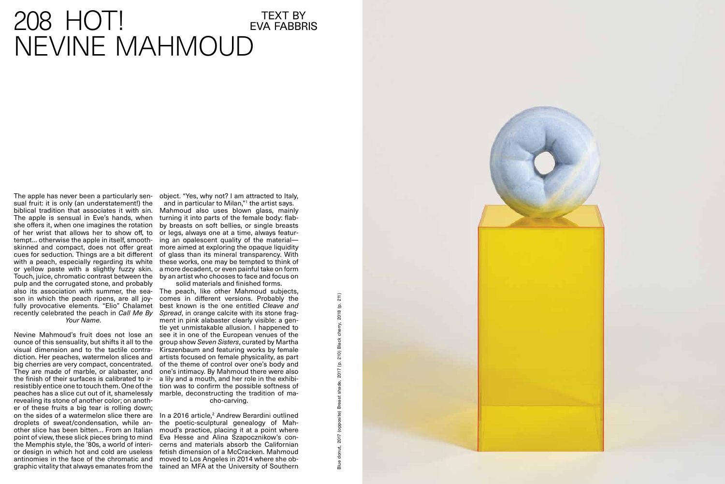## 208 TEXT BY HOT! EVA FABBRIS NEVINE MAHMOUD

The apple has never been a particularly sen-object. "Yes, why not? I am attracted to Italy, of her wrist that allows her to show off, to or legs, always one at a time, always featurwith a peach, especially regarding its white  $\;$  these works, one may be tempted to think of and in particular to Milan,"1 the artist says. Mahmoud also uses blown glass, mainly turning it into parts of the female body: flabby breasts on soft bellies, or single breasts ing an opalescent quality of the material more aimed at exploring the opaque liquidity of glass than its mineral transparency. With a more decadent, or even painful take on form by an artist who chooses to face and focus on solid materials and finished forms.

sual fruit: it is only (an understatement!) the biblical tradition that associates it with sin. The apple is sensual in Eve's hands, when she offers it, when one imagines the rotation tempt… otherwise the apple in itself, smoothskinned and compact, does not offer great cues for seduction. Things are a bit diferent or yellow paste with a slightly fuzzy skin. Touch, juice, chromatic contrast between the pulp and the corrugated stone, and probably also its association with summer, the season in which the peach ripens, are all joyfully provocative elements. "Elio" Chalamet *Your Name*.

recently celebrated the peach in *Call Me By Spread*, in orange calcite with its stone frag-The peach, like other Mahmoud subjects, comes in diferent versions. Probably the best known is the one entitled *Cleave and*  ment in pink alabaster clearly visible: a gentle yet unmistakable allusion. I happened to see it in one of the European venues of the group show *Seven Sisters*, curated by Martha Kirszenbaum and featuring works by female artists focused on female physicality, as part of the theme of control over one's body and one's intimacy. By Mahmoud there were also a lily and a mouth, and her role in the exhibition was to confrm the possible softness of marble, deconstructing the tradition of macho-carving.

Nevine Mahmoud's fruit does not lose an ounce of this sensuality, but shifts it all to the visual dimension and to the tactile contradiction. Her peaches, watermelon slices and big cherries are very compact, concentrated. They are made of marble, or alabaster, and the finish of their surfaces is calibrated to irresistibly entice one to touch them. One of the peaches has a slice cut out of it, shamelessly revealing its stone of another color; on another of these fruits a big tear is rolling down; on the sides of a watermelon slice there are ln a 2016 article,<sup>2</sup> Andrew Berardini outlined droplets of sweat/condensation, while an-the poetic-sculptural genealogy of Mahother slice has been bitten… From an Italian point of view, these slick pieces bring to mind the Memphis style, the '80s, a world of interior design in which hot and cold are useless antinomies in the face of the chromatic and graphic vitality that always emanates from the tained an MFA at the University of Southern

moud's practice, placing it at a point where Eva Hesse and Alina Szapocznikow's concerns and materials absorb the Californian fetish dimension of a McCracken. Mahmoud moved to Los Angeles in 2014 where she ob-

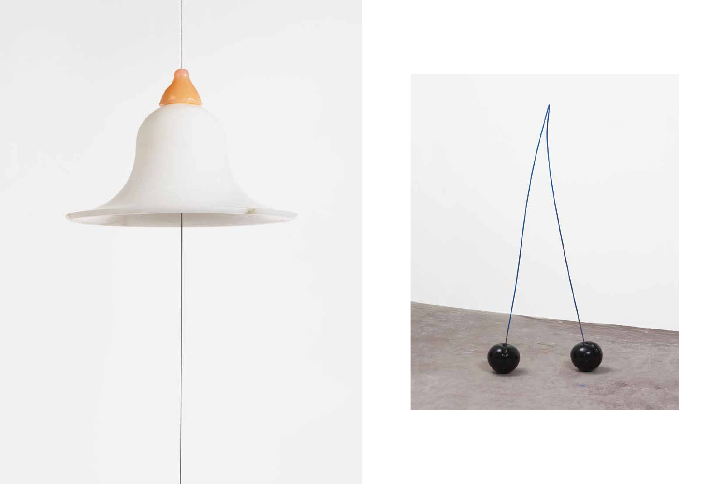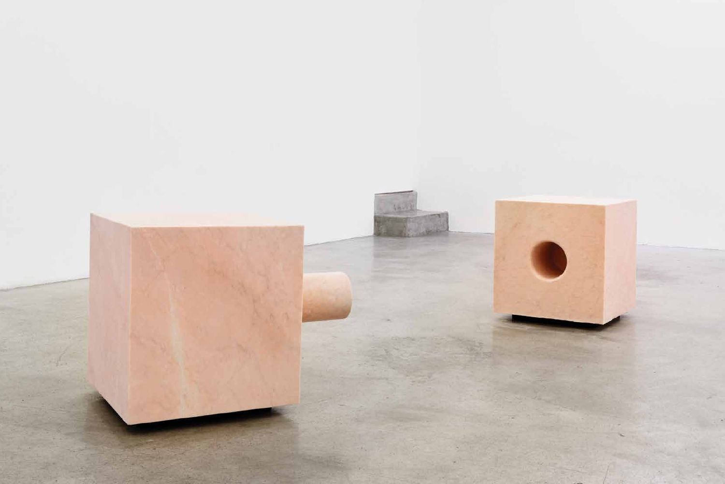